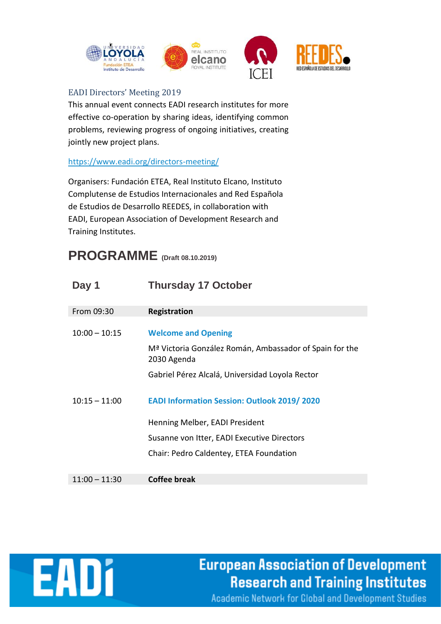



## EADI Directors' Meeting 2019

This annual event connects EADI research institutes for more effective co-operation by sharing ideas, identifying common problems, reviewing progress of ongoing initiatives, creating jointly new project plans.

## <https://www.eadi.org/directors-meeting/>

Organisers: Fundación ETEA, Real Instituto Elcano, Instituto Complutense de Estudios Internacionales and Red Española de Estudios de Desarrollo REEDES, in collaboration with EADI, European Association of Development Research and Training Institutes.

## **PROGRAMME (Draft 08.10.2019)**

| Day 1           | <b>Thursday 17 October</b>                                                                                       |
|-----------------|------------------------------------------------------------------------------------------------------------------|
| From 09:30      | <b>Registration</b>                                                                                              |
| $10:00 - 10:15$ | <b>Welcome and Opening</b><br>M <sup>a</sup> Victoria González Román, Ambassador of Spain for the<br>2030 Agenda |
|                 | Gabriel Pérez Alcalá, Universidad Loyola Rector                                                                  |
| $10:15 - 11:00$ | <b>EADI Information Session: Outlook 2019/2020</b>                                                               |
|                 | Henning Melber, EADI President                                                                                   |
|                 | Susanne von Itter, EADI Executive Directors                                                                      |
|                 | Chair: Pedro Caldentey, ETEA Foundation                                                                          |
| $11:00 - 11:30$ | <b>Coffee break</b>                                                                                              |



**European Association of Development Research and Training Institutes**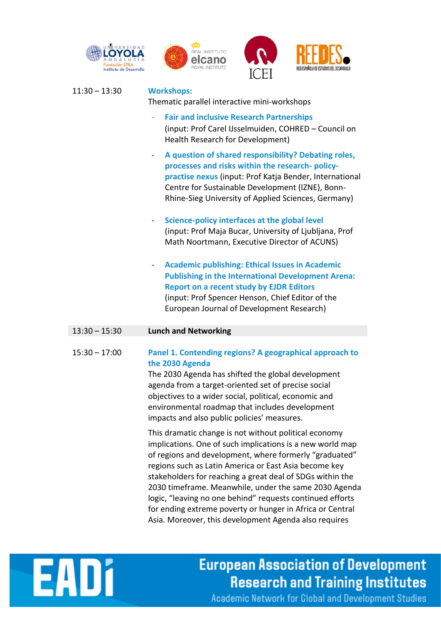





|  |                 | IU ET                                                                                                                                                                                                                                                                                                                                                                                                                                                                                 |
|--|-----------------|---------------------------------------------------------------------------------------------------------------------------------------------------------------------------------------------------------------------------------------------------------------------------------------------------------------------------------------------------------------------------------------------------------------------------------------------------------------------------------------|
|  | $11:30 - 13:30$ | <b>Workshops:</b><br>Thematic parallel interactive mini-workshops                                                                                                                                                                                                                                                                                                                                                                                                                     |
|  |                 | <b>Fair and inclusive Research Partnerships</b><br>(input: Prof Carel IJsselmuiden, COHRED - Council on<br>Health Research for Development)                                                                                                                                                                                                                                                                                                                                           |
|  |                 | A question of shared responsibility? Debating roles,<br>$\blacksquare$<br>processes and risks within the research-policy-<br>practise nexus (input: Prof Katja Bender, International<br>Centre for Sustainable Development (IZNE), Bonn-<br>Rhine-Sieg University of Applied Sciences, Germany)                                                                                                                                                                                       |
|  |                 | Science-policy interfaces at the global level<br>$\blacksquare$<br>(input: Prof Maja Bucar, University of Ljubljana, Prof<br>Math Noortmann, Executive Director of ACUNS)                                                                                                                                                                                                                                                                                                             |
|  |                 | <b>Academic publishing: Ethical Issues in Academic</b><br>$\blacksquare$<br><b>Publishing in the International Development Arena:</b><br><b>Report on a recent study by EJDR Editors</b><br>(input: Prof Spencer Henson, Chief Editor of the<br>European Journal of Development Research)                                                                                                                                                                                             |
|  | $13:30 - 15:30$ | <b>Lunch and Networking</b>                                                                                                                                                                                                                                                                                                                                                                                                                                                           |
|  | $15:30 - 17:00$ | Panel 1. Contending regions? A geographical approach to<br>the 2030 Agenda<br>The 2030 Agenda has shifted the global development<br>agenda from a target-oriented set of precise social<br>objectives to a wider social, political, economic and<br>environmental roadmap that includes development<br>impacts and also public policies' measures.                                                                                                                                    |
|  |                 | This dramatic change is not without political economy<br>implications. One of such implications is a new world map<br>of regions and development, where formerly "graduated"<br>regions such as Latin America or East Asia become key<br>stakeholders for reaching a great deal of SDGs within the<br>2030 timeframe. Meanwhile, under the same 2030 Agenda<br>logic, "leaving no one behind" requests continued efforts<br>for ending extreme poverty or hunger in Africa or Central |

Asia. Moreover, this development Agenda also requires



**European Association of Development Research and Training Institutes**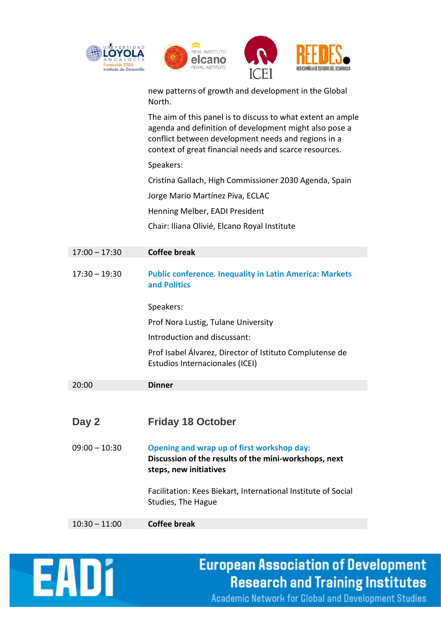







new patterns of growth and development in the Global North.

The aim of this panel is to discuss to what extent an ample agenda and definition of development might also pose a conflict between development needs and regions in a context of great financial needs and scarce resources.

Speakers:

Cristina Gallach, High Commissioner 2030 Agenda, Spain

Jorge Mario Martínez Piva, ECLAC

Henning Melber, EADI President

Chair: Iliana Olivié, Elcano Royal Institute

| $17:00 - 17:30$ | <b>Coffee break</b>                                                                                                           |
|-----------------|-------------------------------------------------------------------------------------------------------------------------------|
| $17:30 - 19:30$ | <b>Public conference. Inequality in Latin America: Markets</b><br>and Politics                                                |
|                 | Speakers:                                                                                                                     |
|                 | Prof Nora Lustig, Tulane University                                                                                           |
|                 | Introduction and discussant:                                                                                                  |
|                 | Prof Isabel Álvarez, Director of Istituto Complutense de<br>Estudios Internacionales (ICEI)                                   |
| 20:00           | <b>Dinner</b>                                                                                                                 |
|                 |                                                                                                                               |
| Day 2           | <b>Friday 18 October</b>                                                                                                      |
| $09:00 - 10:30$ | Opening and wrap up of first workshop day:<br>Discussion of the results of the mini-workshops, next<br>steps, new initiatives |
|                 | Facilitation: Kees Biekart, International Institute of Social<br>Studies, The Hague                                           |
| $10:30 - 11:00$ | <b>Coffee break</b>                                                                                                           |



## **European Association of Development Research and Training Institutes**